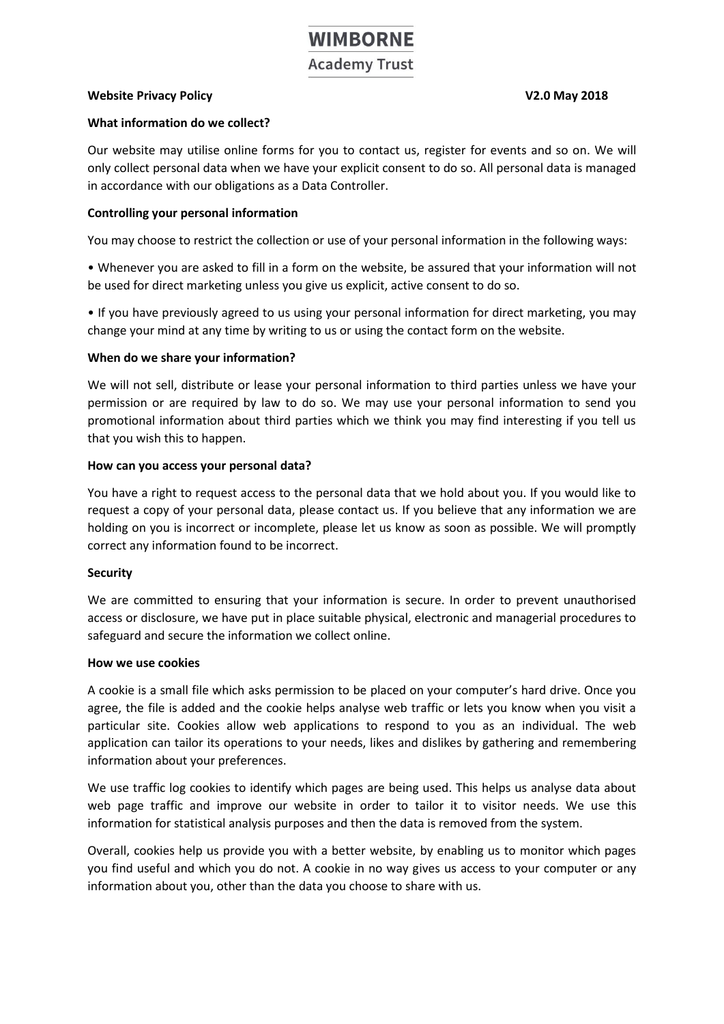# **WIMBORNE Academy Trust**

## **Website Privacy Policy V2.0 May 2018**

#### **What information do we collect?**

Our website may utilise online forms for you to contact us, register for events and so on. We will only collect personal data when we have your explicit consent to do so. All personal data is managed in accordance with our obligations as a Data Controller.

## **Controlling your personal information**

You may choose to restrict the collection or use of your personal information in the following ways:

• Whenever you are asked to fill in a form on the website, be assured that your information will not be used for direct marketing unless you give us explicit, active consent to do so.

• If you have previously agreed to us using your personal information for direct marketing, you may change your mind at any time by writing to us or using the contact form on the website.

#### **When do we share your information?**

We will not sell, distribute or lease your personal information to third parties unless we have your permission or are required by law to do so. We may use your personal information to send you promotional information about third parties which we think you may find interesting if you tell us that you wish this to happen.

#### **How can you access your personal data?**

You have a right to request access to the personal data that we hold about you. If you would like to request a copy of your personal data, please contact us. If you believe that any information we are holding on you is incorrect or incomplete, please let us know as soon as possible. We will promptly correct any information found to be incorrect.

#### **Security**

We are committed to ensuring that your information is secure. In order to prevent unauthorised access or disclosure, we have put in place suitable physical, electronic and managerial procedures to safeguard and secure the information we collect online.

#### **How we use cookies**

A cookie is a small file which asks permission to be placed on your computer's hard drive. Once you agree, the file is added and the cookie helps analyse web traffic or lets you know when you visit a particular site. Cookies allow web applications to respond to you as an individual. The web application can tailor its operations to your needs, likes and dislikes by gathering and remembering information about your preferences.

We use traffic log cookies to identify which pages are being used. This helps us analyse data about web page traffic and improve our website in order to tailor it to visitor needs. We use this information for statistical analysis purposes and then the data is removed from the system.

Overall, cookies help us provide you with a better website, by enabling us to monitor which pages you find useful and which you do not. A cookie in no way gives us access to your computer or any information about you, other than the data you choose to share with us.